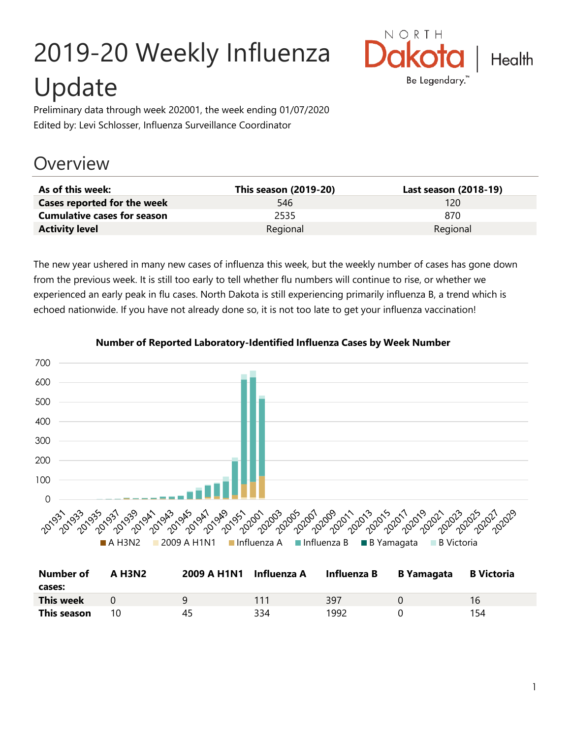# 2019-20 Weekly Influenza Update



Preliminary data through week 202001, the week ending 01/07/2020 Edited by: Levi Schlosser, Influenza Surveillance Coordinator

# **Overview**

| As of this week:                   | <b>This season (2019-20)</b> | Last season (2018-19) |
|------------------------------------|------------------------------|-----------------------|
| Cases reported for the week        | 546                          | 120                   |
| <b>Cumulative cases for season</b> | 2535                         | 870                   |
| <b>Activity level</b>              | Regional                     | Regional              |

The new year ushered in many new cases of influenza this week, but the weekly number of cases has gone down from the previous week. It is still too early to tell whether flu numbers will continue to rise, or whether we experienced an early peak in flu cases. North Dakota is still experiencing primarily influenza B, a trend which is echoed nationwide. If you have not already done so, it is not too late to get your influenza vaccination!



#### **Number of Reported Laboratory-Identified Influenza Cases by Week Number**

| Number of        | A H3N2 |    | 2009 A H1N1 Influenza A Influenza B |      | B Yamagata | B Victoria |
|------------------|--------|----|-------------------------------------|------|------------|------------|
| cases:           |        |    |                                     |      |            |            |
| <b>This week</b> |        | a  |                                     | 397  |            | 16         |
| This season      | 10     | 45 | 334                                 | 1992 |            | 154        |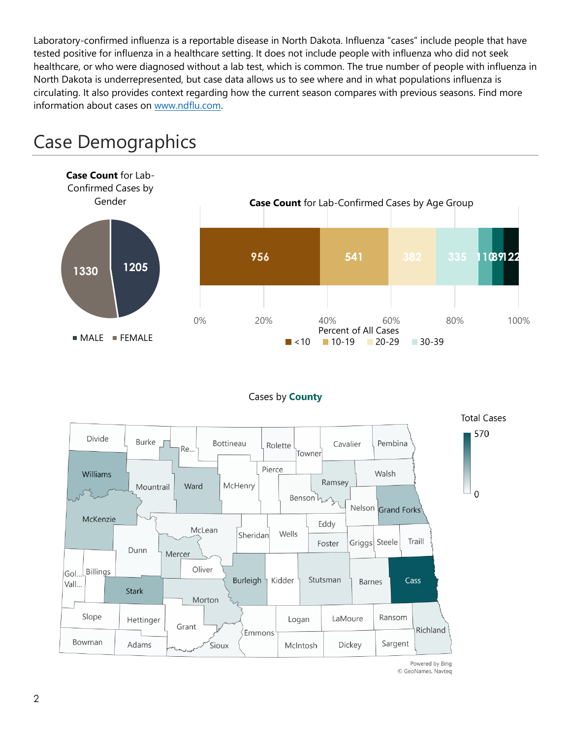Laboratory-confirmed influenza is a reportable disease in North Dakota. Influenza "cases" include people that have tested positive for influenza in a healthcare setting. It does not include people with influenza who did not seek healthcare, or who were diagnosed without a lab test, which is common. The true number of people with influenza in North Dakota is underrepresented, but case data allows us to see where and in what populations influenza is circulating. It also provides context regarding how the current season compares with previous seasons. Find more information about cases on [www.ndflu.com.](file://///nd.gov/doh/DOH-DATA/MSS/DC/PROGRAM/IMMUNE/Immunize/Influenza/Inf18-19/Surveillance/Weekly%20Summaries/www.ndflu.com)



# Case Demographics

#### Cases by **County**



© GeoNames, Navteq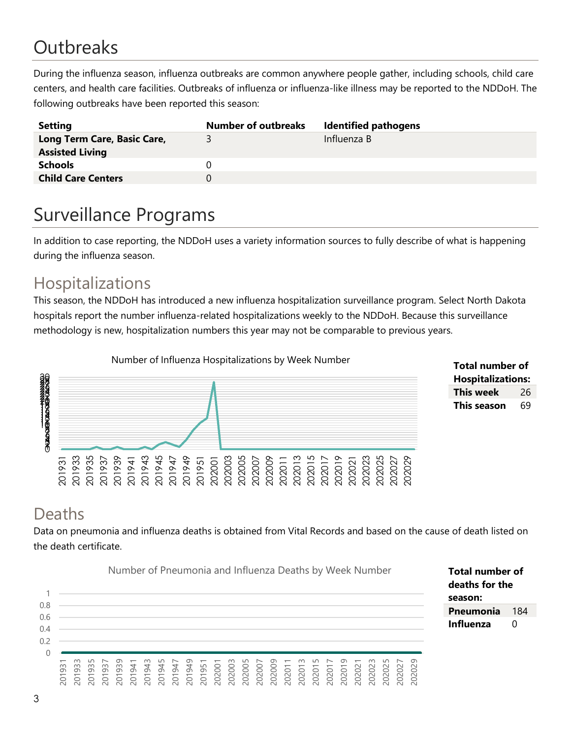# **Outbreaks**

During the influenza season, influenza outbreaks are common anywhere people gather, including schools, child care centers, and health care facilities. Outbreaks of influenza or influenza-like illness may be reported to the NDDoH. The following outbreaks have been reported this season:

| <b>Setting</b>                                        | <b>Number of outbreaks</b> | <b>Identified pathogens</b> |
|-------------------------------------------------------|----------------------------|-----------------------------|
| Long Term Care, Basic Care,<br><b>Assisted Living</b> | 3.                         | Influenza B                 |
| <b>Schools</b>                                        |                            |                             |
| <b>Child Care Centers</b>                             |                            |                             |

# Surveillance Programs

In addition to case reporting, the NDDoH uses a variety information sources to fully describe of what is happening during the influenza season.

#### Hospitalizations

This season, the NDDoH has introduced a new influenza hospitalization surveillance program. Select North Dakota hospitals report the number influenza-related hospitalizations weekly to the NDDoH. Because this surveillance methodology is new, hospitalization numbers this year may not be comparable to previous years.





#### Deaths

Data on pneumonia and influenza deaths is obtained from Vital Records and based on the cause of death listed on the death certificate.

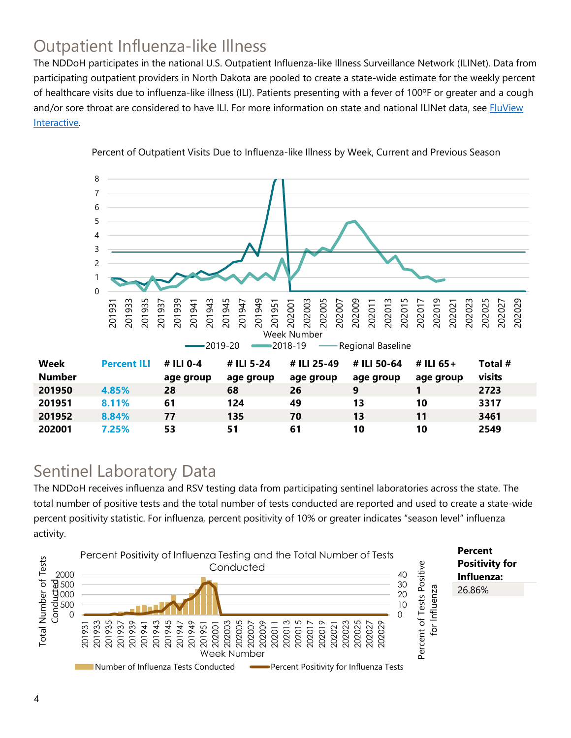## Outpatient Influenza-like Illness

The NDDoH participates in the national U.S. Outpatient Influenza-like Illness Surveillance Network (ILINet). Data from participating outpatient providers in North Dakota are pooled to create a state-wide estimate for the weekly percent of healthcare visits due to influenza-like illness (ILI). Patients presenting with a fever of 100ºF or greater and a cough and/or sore throat are considered to have ILI. For more information on state and national ILINet data, see **FluView** [Interactive.](https://gis.cdc.gov/grasp/fluview/fluportaldashboard.html)



Percent of Outpatient Visits Due to Influenza-like Illness by Week, Current and Previous Season

#### Sentinel Laboratory Data

The NDDoH receives influenza and RSV testing data from participating sentinel laboratories across the state. The total number of positive tests and the total number of tests conducted are reported and used to create a state-wide percent positivity statistic. For influenza, percent positivity of 10% or greater indicates "season level" influenza activity.

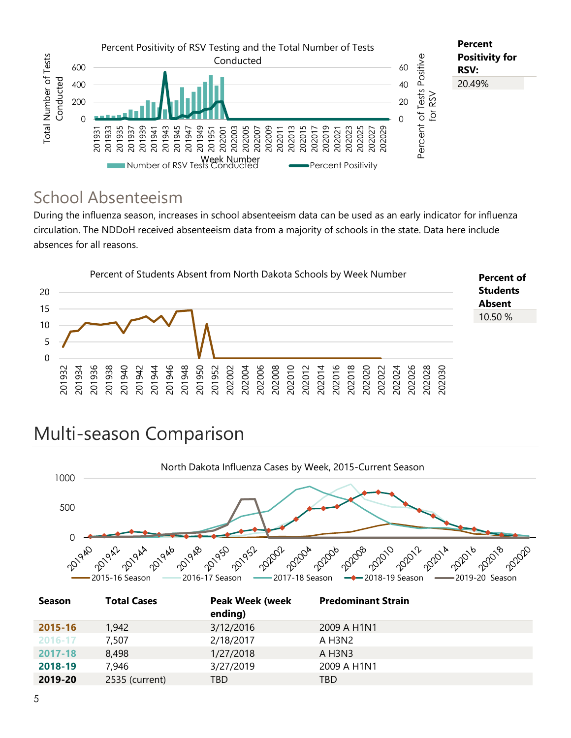

#### School Absenteeism

During the influenza season, increases in school absenteeism data can be used as an early indicator for influenza circulation. The NDDoH received absenteeism data from a majority of schools in the state. Data here include absences for all reasons.



# Multi-season Comparison